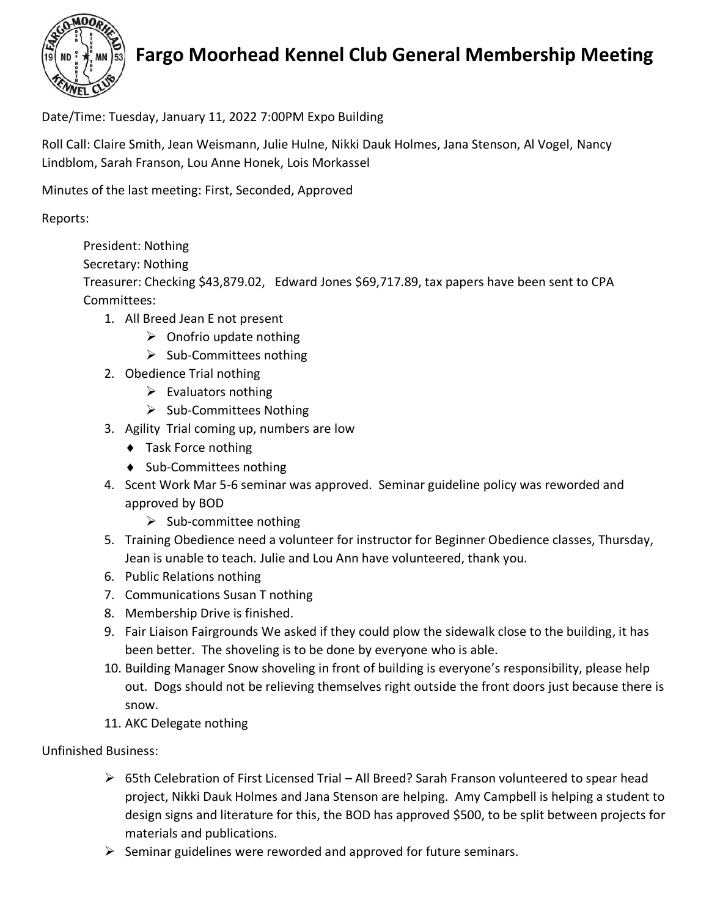

## **Fargo Moorhead Kennel Club General Membership Meeting**

Date/Time: Tuesday, January 11, 2022 7:00PM Expo Building

Roll Call: Claire Smith, Jean Weismann, Julie Hulne, Nikki Dauk Holmes, Jana Stenson, Al Vogel, Nancy Lindblom, Sarah Franson, Lou Anne Honek, Lois Morkassel

Minutes of the last meeting: First, Seconded, Approved

Reports:

President: Nothing

Secretary: Nothing

Treasurer: Checking \$43,879.02, Edward Jones \$69,717.89, tax papers have been sent to CPA Committees:

- 1. All Breed Jean E not present
	- $\triangleright$  Onofrio update nothing
	- $\triangleright$  Sub-Committees nothing
- 2. Obedience Trial nothing
	- $\triangleright$  Evaluators nothing
	- ➢ Sub-Committees Nothing
- 3. Agility Trial coming up, numbers are low
	- ◆ Task Force nothing
	- ◆ Sub-Committees nothing
- 4. Scent Work Mar 5-6 seminar was approved. Seminar guideline policy was reworded and approved by BOD
	- $\triangleright$  Sub-committee nothing
- 5. Training Obedience need a volunteer for instructor for Beginner Obedience classes, Thursday, Jean is unable to teach. Julie and Lou Ann have volunteered, thank you.
- 6. Public Relations nothing
- 7. Communications Susan T nothing
- 8. Membership Drive is finished.
- 9. Fair Liaison Fairgrounds We asked if they could plow the sidewalk close to the building, it has been better. The shoveling is to be done by everyone who is able.
- 10. Building Manager Snow shoveling in front of building is everyone's responsibility, please help out. Dogs should not be relieving themselves right outside the front doors just because there is snow.
- 11. AKC Delegate nothing

## Unfinished Business:

- $\triangleright$  65th Celebration of First Licensed Trial All Breed? Sarah Franson volunteered to spear head project, Nikki Dauk Holmes and Jana Stenson are helping. Amy Campbell is helping a student to design signs and literature for this, the BOD has approved \$500, to be split between projects for materials and publications.
- $\triangleright$  Seminar guidelines were reworded and approved for future seminars.